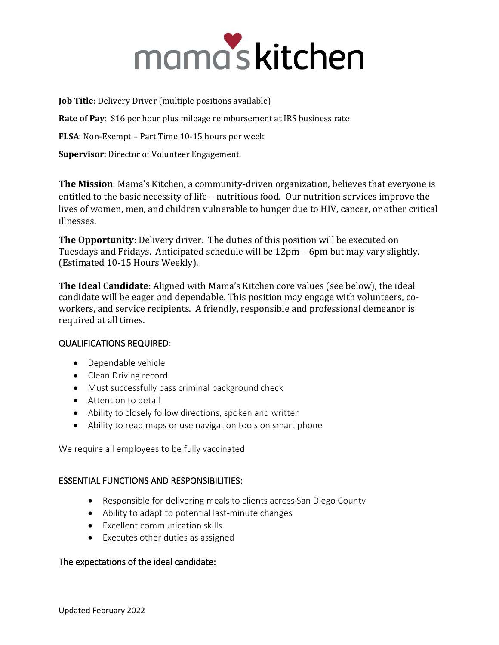# mama's kitchen

**Job Title**: Delivery Driver (multiple positions available)

**Rate of Pay**: \$16 per hour plus mileage reimbursement at IRS business rate

**FLSA**: Non-Exempt – Part Time 10-15 hours per week

**Supervisor:** Director of Volunteer Engagement

**The Mission**: Mama's Kitchen, a community-driven organization, believes that everyone is entitled to the basic necessity of life – nutritious food. Our nutrition services improve the lives of women, men, and children vulnerable to hunger due to HIV, cancer, or other critical illnesses.

**The Opportunity**: Delivery driver. The duties of this position will be executed on Tuesdays and Fridays. Anticipated schedule will be 12pm – 6pm but may vary slightly. (Estimated 10-15 Hours Weekly).

**The Ideal Candidate**: Aligned with Mama's Kitchen core values (see below), the ideal candidate will be eager and dependable. This position may engage with volunteers, coworkers, and service recipients. A friendly, responsible and professional demeanor is required at all times.

# QUALIFICATIONS REQUIRED:

- Dependable vehicle
- Clean Driving record
- Must successfully pass criminal background check
- Attention to detail
- Ability to closely follow directions, spoken and written
- Ability to read maps or use navigation tools on smart phone

We require all employees to be fully vaccinated

# ESSENTIAL FUNCTIONS AND RESPONSIBILITIES:

- Responsible for delivering meals to clients across San Diego County
- Ability to adapt to potential last-minute changes
- Excellent communication skills
- Executes other duties as assigned

### The expectations of the ideal candidate: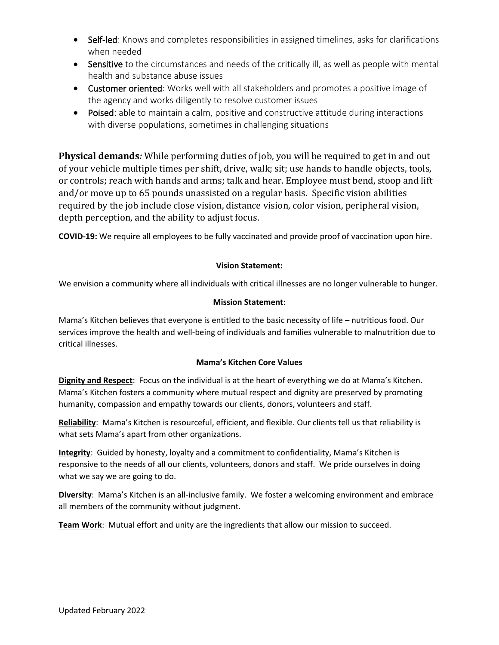- Self-led: Knows and completes responsibilities in assigned timelines, asks for clarifications when needed
- Sensitive to the circumstances and needs of the critically ill, as well as people with mental health and substance abuse issues
- Customer oriented: Works well with all stakeholders and promotes a positive image of the agency and works diligently to resolve customer issues
- Poised: able to maintain a calm, positive and constructive attitude during interactions with diverse populations, sometimes in challenging situations

**Physical demands***:* While performing duties of job, you will be required to get in and out of your vehicle multiple times per shift, drive, walk; sit; use hands to handle objects, tools, or controls; reach with hands and arms; talk and hear. Employee must bend, stoop and lift and/or move up to 65 pounds unassisted on a regular basis. Specific vision abilities required by the job include close vision, distance vision, color vision, peripheral vision, depth perception, and the ability to adjust focus.

**COVID-19:** We require all employees to be fully vaccinated and provide proof of vaccination upon hire.

## **Vision Statement:**

We envision a community where all individuals with critical illnesses are no longer vulnerable to hunger.

## **Mission Statement**:

Mama's Kitchen believes that everyone is entitled to the basic necessity of life – nutritious food. Our services improve the health and well-being of individuals and families vulnerable to malnutrition due to critical illnesses.

### **Mama's Kitchen Core Values**

**Dignity and Respect**: Focus on the individual is at the heart of everything we do at Mama's Kitchen. Mama's Kitchen fosters a community where mutual respect and dignity are preserved by promoting humanity, compassion and empathy towards our clients, donors, volunteers and staff.

**Reliability**: Mama's Kitchen is resourceful, efficient, and flexible. Our clients tell us that reliability is what sets Mama's apart from other organizations.

**Integrity**: Guided by honesty, loyalty and a commitment to confidentiality, Mama's Kitchen is responsive to the needs of all our clients, volunteers, donors and staff. We pride ourselves in doing what we say we are going to do.

**Diversity**: Mama's Kitchen is an all-inclusive family. We foster a welcoming environment and embrace all members of the community without judgment.

**Team Work**: Mutual effort and unity are the ingredients that allow our mission to succeed.